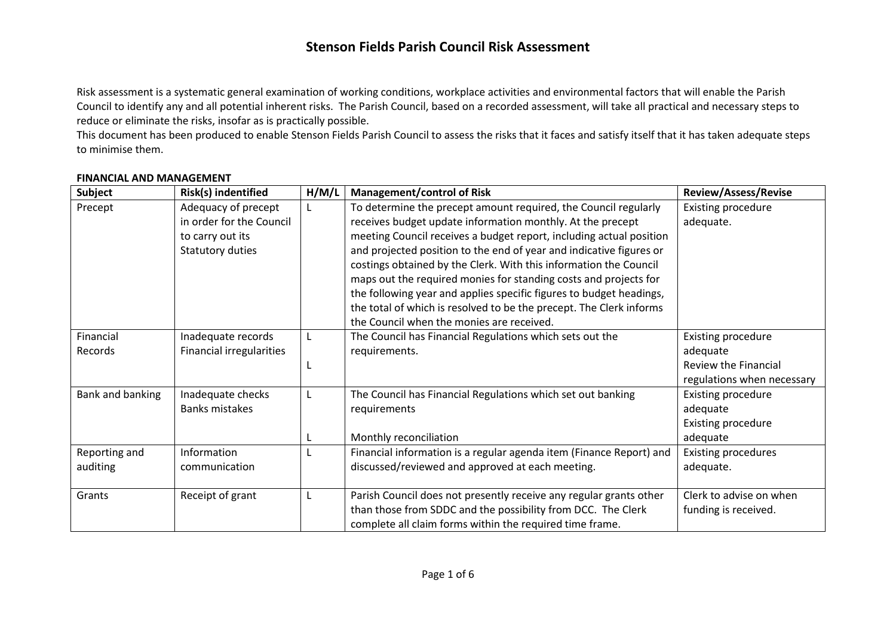Risk assessment is a systematic general examination of working conditions, workplace activities and environmental factors that will enable the Parish Council to identify any and all potential inherent risks. The Parish Council, based on a recorded assessment, will take all practical and necessary steps to reduce or eliminate the risks, insofar as is practically possible.

This document has been produced to enable Stenson Fields Parish Council to assess the risks that it faces and satisfy itself that it has taken adequate steps to minimise them.

#### **FINANCIAL AND MANAGEMENT**

| <b>Subject</b>            | Risk(s) indentified                                                                     | H/M/L | <b>Management/control of Risk</b>                                                                                                                                                                                                                                                                                                                                                                                                                                                                                                                                                                               | <b>Review/Assess/Revise</b>                                                                 |
|---------------------------|-----------------------------------------------------------------------------------------|-------|-----------------------------------------------------------------------------------------------------------------------------------------------------------------------------------------------------------------------------------------------------------------------------------------------------------------------------------------------------------------------------------------------------------------------------------------------------------------------------------------------------------------------------------------------------------------------------------------------------------------|---------------------------------------------------------------------------------------------|
| Precept                   | Adequacy of precept<br>in order for the Council<br>to carry out its<br>Statutory duties |       | To determine the precept amount required, the Council regularly<br>receives budget update information monthly. At the precept<br>meeting Council receives a budget report, including actual position<br>and projected position to the end of year and indicative figures or<br>costings obtained by the Clerk. With this information the Council<br>maps out the required monies for standing costs and projects for<br>the following year and applies specific figures to budget headings,<br>the total of which is resolved to be the precept. The Clerk informs<br>the Council when the monies are received. | <b>Existing procedure</b><br>adequate.                                                      |
| Financial<br>Records      | Inadequate records<br>Financial irregularities                                          |       | The Council has Financial Regulations which sets out the<br>requirements.                                                                                                                                                                                                                                                                                                                                                                                                                                                                                                                                       | Existing procedure<br>adequate<br><b>Review the Financial</b><br>regulations when necessary |
| Bank and banking          | Inadequate checks<br><b>Banks mistakes</b>                                              | L     | The Council has Financial Regulations which set out banking<br>requirements<br>Monthly reconciliation                                                                                                                                                                                                                                                                                                                                                                                                                                                                                                           | Existing procedure<br>adequate<br>Existing procedure<br>adequate                            |
| Reporting and<br>auditing | Information<br>communication                                                            | L     | Financial information is a regular agenda item (Finance Report) and<br>discussed/reviewed and approved at each meeting.                                                                                                                                                                                                                                                                                                                                                                                                                                                                                         | <b>Existing procedures</b><br>adequate.                                                     |
| Grants                    | Receipt of grant                                                                        | L     | Parish Council does not presently receive any regular grants other<br>than those from SDDC and the possibility from DCC. The Clerk<br>complete all claim forms within the required time frame.                                                                                                                                                                                                                                                                                                                                                                                                                  | Clerk to advise on when<br>funding is received.                                             |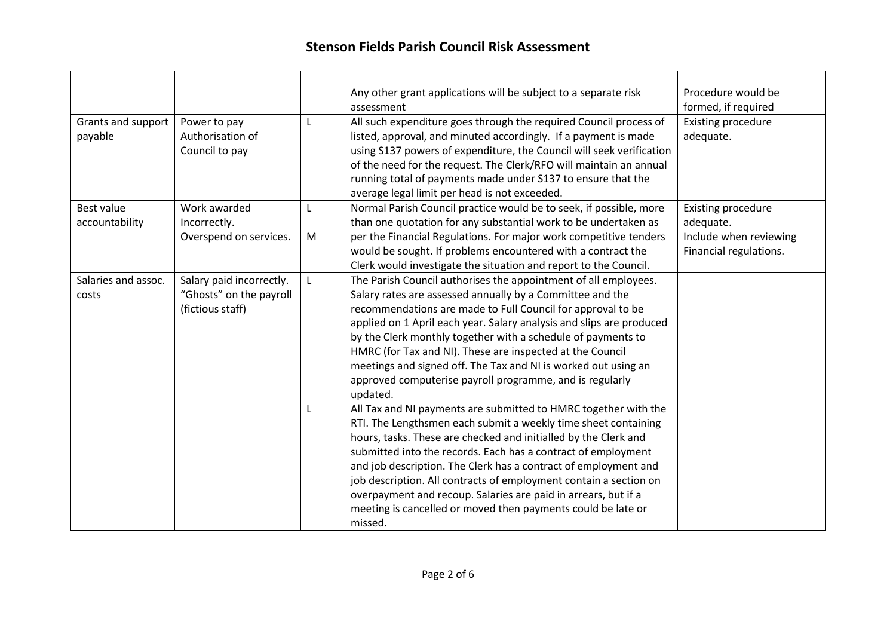| Grants and support<br>payable       | Power to pay<br>Authorisation of<br>Council to pay                      | L      | Any other grant applications will be subject to a separate risk<br>assessment<br>All such expenditure goes through the required Council process of<br>listed, approval, and minuted accordingly. If a payment is made<br>using S137 powers of expenditure, the Council will seek verification<br>of the need for the request. The Clerk/RFO will maintain an annual<br>running total of payments made under S137 to ensure that the<br>average legal limit per head is not exceeded.                                                                                                                                                                                                                                                                                                                                                                                                                                                                                                                                                                                                                     | Procedure would be<br>formed, if required<br>Existing procedure<br>adequate.        |
|-------------------------------------|-------------------------------------------------------------------------|--------|----------------------------------------------------------------------------------------------------------------------------------------------------------------------------------------------------------------------------------------------------------------------------------------------------------------------------------------------------------------------------------------------------------------------------------------------------------------------------------------------------------------------------------------------------------------------------------------------------------------------------------------------------------------------------------------------------------------------------------------------------------------------------------------------------------------------------------------------------------------------------------------------------------------------------------------------------------------------------------------------------------------------------------------------------------------------------------------------------------|-------------------------------------------------------------------------------------|
| <b>Best value</b><br>accountability | Work awarded<br>Incorrectly.<br>Overspend on services.                  | L<br>M | Normal Parish Council practice would be to seek, if possible, more<br>than one quotation for any substantial work to be undertaken as<br>per the Financial Regulations. For major work competitive tenders<br>would be sought. If problems encountered with a contract the<br>Clerk would investigate the situation and report to the Council.                                                                                                                                                                                                                                                                                                                                                                                                                                                                                                                                                                                                                                                                                                                                                           | Existing procedure<br>adequate.<br>Include when reviewing<br>Financial regulations. |
| Salaries and assoc.<br>costs        | Salary paid incorrectly.<br>"Ghosts" on the payroll<br>(fictious staff) | L<br>L | The Parish Council authorises the appointment of all employees.<br>Salary rates are assessed annually by a Committee and the<br>recommendations are made to Full Council for approval to be<br>applied on 1 April each year. Salary analysis and slips are produced<br>by the Clerk monthly together with a schedule of payments to<br>HMRC (for Tax and NI). These are inspected at the Council<br>meetings and signed off. The Tax and NI is worked out using an<br>approved computerise payroll programme, and is regularly<br>updated.<br>All Tax and NI payments are submitted to HMRC together with the<br>RTI. The Lengthsmen each submit a weekly time sheet containing<br>hours, tasks. These are checked and initialled by the Clerk and<br>submitted into the records. Each has a contract of employment<br>and job description. The Clerk has a contract of employment and<br>job description. All contracts of employment contain a section on<br>overpayment and recoup. Salaries are paid in arrears, but if a<br>meeting is cancelled or moved then payments could be late or<br>missed. |                                                                                     |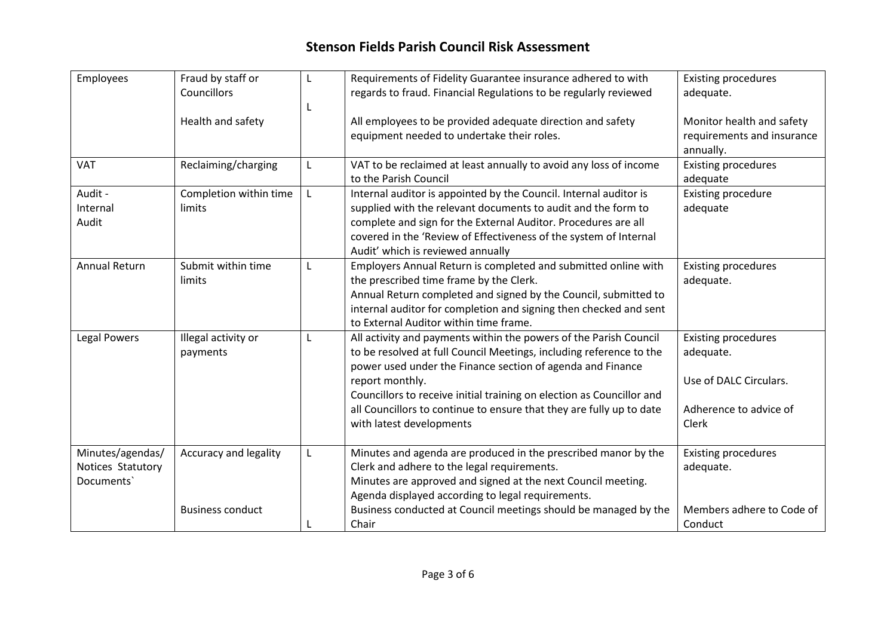| Employees                                           | Fraud by staff or<br>Councillors                 | L | Requirements of Fidelity Guarantee insurance adhered to with<br>regards to fraud. Financial Regulations to be regularly reviewed                                                                                                                                                                                                                                                                       | <b>Existing procedures</b><br>adequate.                                                              |
|-----------------------------------------------------|--------------------------------------------------|---|--------------------------------------------------------------------------------------------------------------------------------------------------------------------------------------------------------------------------------------------------------------------------------------------------------------------------------------------------------------------------------------------------------|------------------------------------------------------------------------------------------------------|
|                                                     | Health and safety                                | L | All employees to be provided adequate direction and safety<br>equipment needed to undertake their roles.                                                                                                                                                                                                                                                                                               | Monitor health and safety<br>requirements and insurance<br>annually.                                 |
| <b>VAT</b>                                          | Reclaiming/charging                              | L | VAT to be reclaimed at least annually to avoid any loss of income<br>to the Parish Council                                                                                                                                                                                                                                                                                                             | <b>Existing procedures</b><br>adequate                                                               |
| Audit -<br>Internal<br>Audit                        | Completion within time<br>limits                 | L | Internal auditor is appointed by the Council. Internal auditor is<br>supplied with the relevant documents to audit and the form to<br>complete and sign for the External Auditor. Procedures are all<br>covered in the 'Review of Effectiveness of the system of Internal<br>Audit' which is reviewed annually                                                                                         | Existing procedure<br>adequate                                                                       |
| <b>Annual Return</b>                                | Submit within time<br>limits                     | L | Employers Annual Return is completed and submitted online with<br>the prescribed time frame by the Clerk.<br>Annual Return completed and signed by the Council, submitted to<br>internal auditor for completion and signing then checked and sent<br>to External Auditor within time frame.                                                                                                            | <b>Existing procedures</b><br>adequate.                                                              |
| Legal Powers                                        | Illegal activity or<br>payments                  | L | All activity and payments within the powers of the Parish Council<br>to be resolved at full Council Meetings, including reference to the<br>power used under the Finance section of agenda and Finance<br>report monthly.<br>Councillors to receive initial training on election as Councillor and<br>all Councillors to continue to ensure that they are fully up to date<br>with latest developments | <b>Existing procedures</b><br>adequate.<br>Use of DALC Circulars.<br>Adherence to advice of<br>Clerk |
| Minutes/agendas/<br>Notices Statutory<br>Documents' | Accuracy and legality<br><b>Business conduct</b> | L | Minutes and agenda are produced in the prescribed manor by the<br>Clerk and adhere to the legal requirements.<br>Minutes are approved and signed at the next Council meeting.<br>Agenda displayed according to legal requirements.<br>Business conducted at Council meetings should be managed by the                                                                                                  | <b>Existing procedures</b><br>adequate.<br>Members adhere to Code of                                 |
|                                                     |                                                  |   | Chair                                                                                                                                                                                                                                                                                                                                                                                                  | Conduct                                                                                              |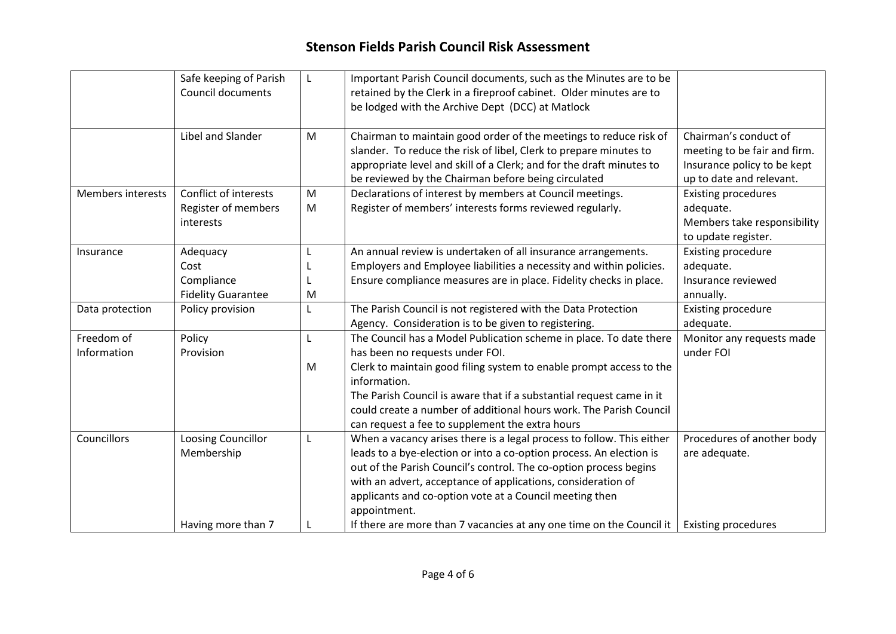|                   | Safe keeping of Parish    | L | Important Parish Council documents, such as the Minutes are to be     |                              |
|-------------------|---------------------------|---|-----------------------------------------------------------------------|------------------------------|
|                   | Council documents         |   | retained by the Clerk in a fireproof cabinet. Older minutes are to    |                              |
|                   |                           |   | be lodged with the Archive Dept (DCC) at Matlock                      |                              |
|                   |                           |   |                                                                       |                              |
|                   | Libel and Slander         | M | Chairman to maintain good order of the meetings to reduce risk of     | Chairman's conduct of        |
|                   |                           |   | slander. To reduce the risk of libel, Clerk to prepare minutes to     | meeting to be fair and firm. |
|                   |                           |   | appropriate level and skill of a Clerk; and for the draft minutes to  | Insurance policy to be kept  |
|                   |                           |   | be reviewed by the Chairman before being circulated                   | up to date and relevant.     |
| Members interests | Conflict of interests     | M | Declarations of interest by members at Council meetings.              | <b>Existing procedures</b>   |
|                   | Register of members       | M | Register of members' interests forms reviewed regularly.              | adequate.                    |
|                   | interests                 |   |                                                                       | Members take responsibility  |
|                   |                           |   |                                                                       | to update register.          |
| Insurance         | Adequacy                  |   | An annual review is undertaken of all insurance arrangements.         | Existing procedure           |
|                   | Cost                      |   | Employers and Employee liabilities a necessity and within policies.   | adequate.                    |
|                   | Compliance                |   | Ensure compliance measures are in place. Fidelity checks in place.    | Insurance reviewed           |
|                   | <b>Fidelity Guarantee</b> | M |                                                                       | annually.                    |
| Data protection   | Policy provision          | L | The Parish Council is not registered with the Data Protection         | Existing procedure           |
|                   |                           |   | Agency. Consideration is to be given to registering.                  | adequate.                    |
| Freedom of        | Policy                    | L | The Council has a Model Publication scheme in place. To date there    | Monitor any requests made    |
| Information       | Provision                 |   | has been no requests under FOI.                                       | under FOI                    |
|                   |                           | M | Clerk to maintain good filing system to enable prompt access to the   |                              |
|                   |                           |   | information.                                                          |                              |
|                   |                           |   | The Parish Council is aware that if a substantial request came in it  |                              |
|                   |                           |   | could create a number of additional hours work. The Parish Council    |                              |
|                   |                           |   | can request a fee to supplement the extra hours                       |                              |
| Councillors       | Loosing Councillor        | L | When a vacancy arises there is a legal process to follow. This either | Procedures of another body   |
|                   | Membership                |   | leads to a bye-election or into a co-option process. An election is   | are adequate.                |
|                   |                           |   | out of the Parish Council's control. The co-option process begins     |                              |
|                   |                           |   | with an advert, acceptance of applications, consideration of          |                              |
|                   |                           |   | applicants and co-option vote at a Council meeting then               |                              |
|                   |                           |   | appointment.                                                          |                              |
|                   | Having more than 7        |   | If there are more than 7 vacancies at any one time on the Council it  | <b>Existing procedures</b>   |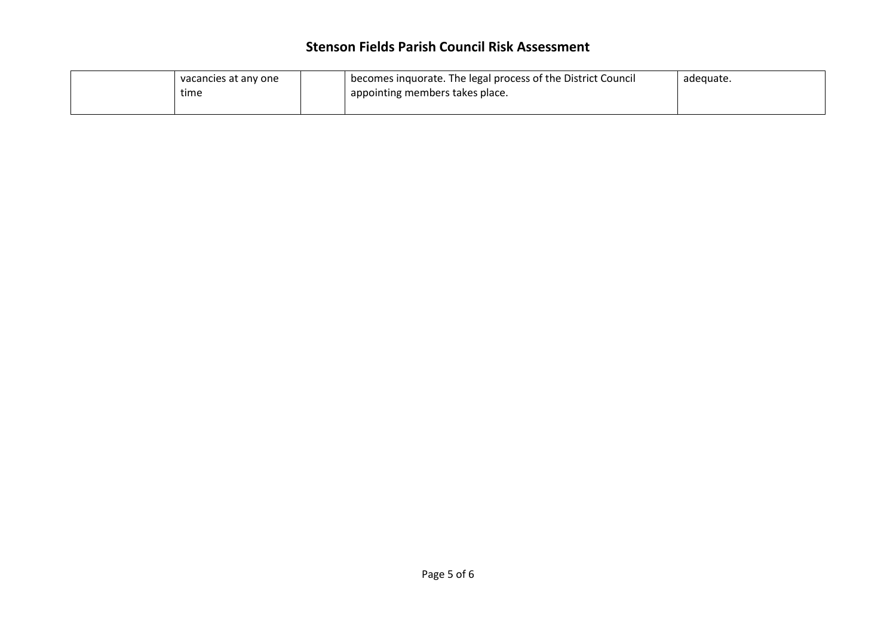| vacancies at any one | I becomes inquorate. The legal process of the District Council | adequate. |
|----------------------|----------------------------------------------------------------|-----------|
| time                 | I appointing members takes place.                              |           |
|                      |                                                                |           |